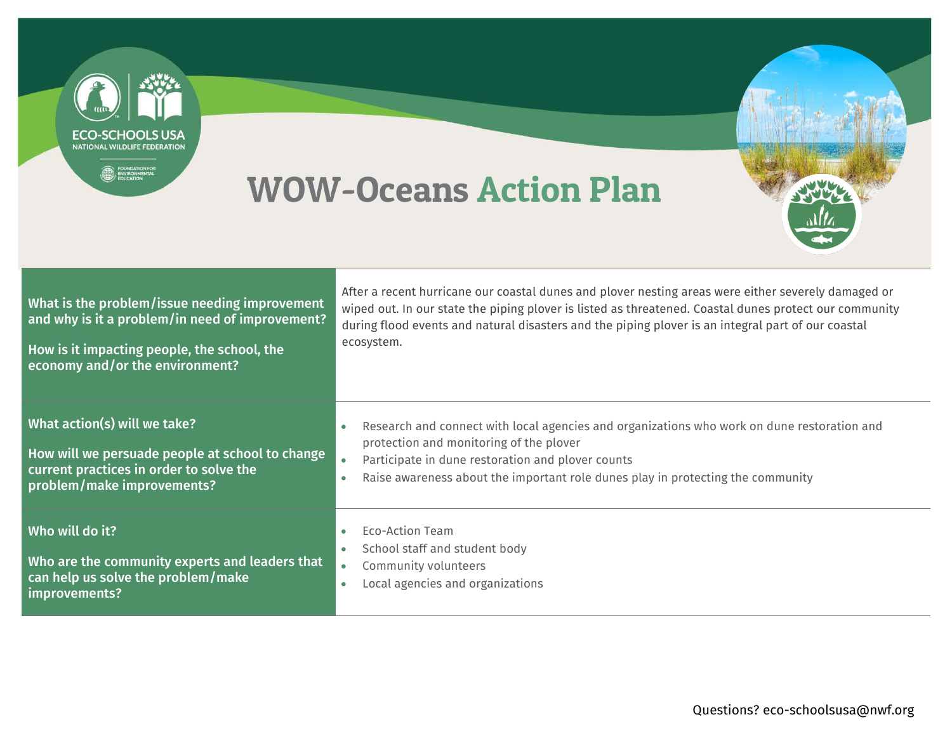**NATIONAL WILDLIFE FEDERATION** WOW-Oceans Action Plan After a recent hurricane our coastal dunes and plover nesting areas were either severely damaged or What is the problem/issue needing improvement wiped out. In our state the piping plover is listed as threatened. Coastal dunes protect our community and why is it a problem/in need of improvement? during flood events and natural disasters and the piping plover is an integral part of our coastal ecosystem. How is it impacting people, the school, the economy and/or the environment?

What action(s) will we take? How will we persuade people at school to change current practices in order to solve the problem/make improvements? Research and connect with local agencies and organizations who work on dune restoration and protection and monitoring of the plover Participate in dune restoration and plover counts Raise awareness about the important role dunes play in protecting the community Who will do it? Who are the community experts and leaders that can help us solve the problem/make improvements? Eco-Action Team School staff and student body Community volunteers Local agencies and organizations